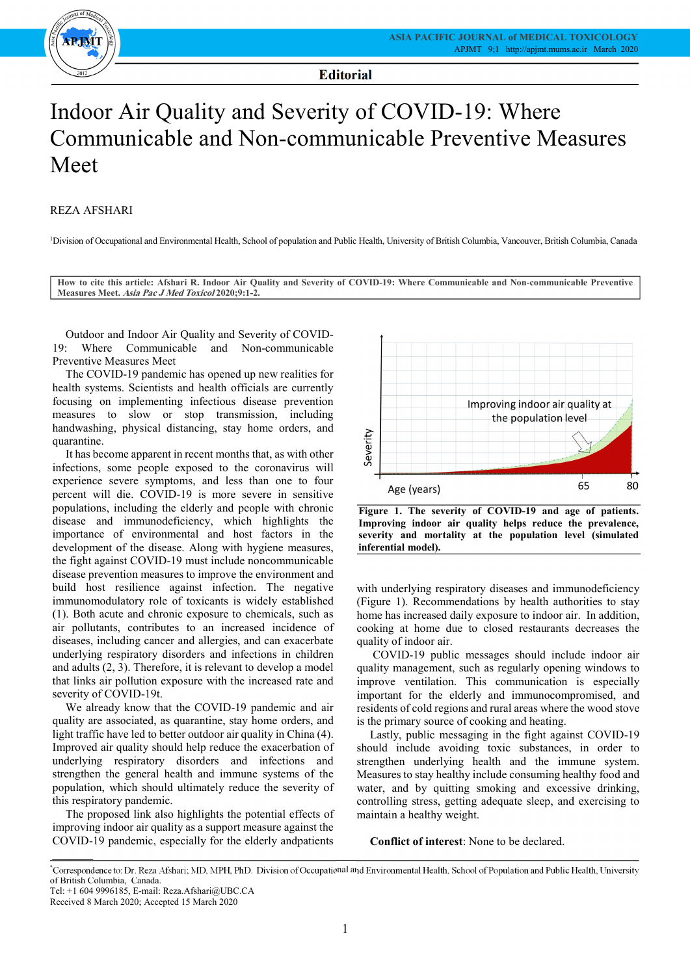Ξ

-



**Editorial**

Ξ

## Communicable and Non-communicable Preventive Measures  $\overline{1}$  Indoor Air Quality and Severity of COVID-19: Where Meet

## REZA AFSHARI

1 Division of Occupational and Environmental Health, School of population and Public Health, University of British Columbia, Vancouver, British Columbia, Canada

 **How to cite this article: Afshari R. Indoor Air Quality and Severity of COVID-19: Where Communicable and Non-communicable Preventive**   $\overline{a}$  $\overline{a}$ **Measures Meet. Asia Pac J Med Toxicol 2020;9:1-2.**

 Outdoor and Indoor Air Quality and Severity of COVID-19: Where Communicable and Non-communicable Preventive Measures Meet

 The COVID-19 pandemic has opened up new realities for health systems. Scientists and health officials are currently<br>formation are intelecting infections discose approaching measures to slow or stop transmission, including handwashing, physical distancing, stay home orders, and focusing on implementing infectious disease prevention quarantine.

 infections, some people exposed to the coronavirus will experience severe symptoms, and less than one to four percent will die. COVID-19 is more severe in sensitive populations, including the elderly and people with chronic importance of environmental and host factors in the development of the disease. Along with hygiene measures, the fight against COVID-19 must include noncommunicable disease prevention measures to improve the environment and immunomodulatory role of toxicants is widely established (1). Both acute and chronic exposure to chemicals, such as air pollutants, contributes to an increased incidence of diseases, including cancer and allergies, and can exacerbate and adults (2, 3). Therefore, it is relevant to develop a model that links air pollution exposure with the increased rate and It has become apparent in recent months that, as with other disease and immunodeficiency, which highlights the build host resilience against infection. The negative underlying respiratory disorders and infections in children severity of COVID-19t.

we already know that the COVID-19 pandemic and all<br>quality are associated, as quarantine, stay home orders, and light traffic have led to better outdoor air quality in China (4). Improved air quality should help reduce the exacerbation of underlying respiratory disorders and infections and population, which should ultimately reduce the severity of We already know that the COVID-19 pandemic and air strengthen the general health and immune systems of the this respiratory pandemic.

 The proposed link also highlights the potential effects of improving indoor air quality as a support measure against the COVID-19 pandemic, especially for the elderly andpatients



 **Figure 1. The severity of COVID-19 and age of patients. Improving indoor air quality helps reduce the prevalence, severity and mortality at the population level (simulated inferential model).**

 with underlying respiratory diseases and immunodeficiency (Figure 1). Recommendations by health authorities to stay home has increased daily exposure to indoor air. In addition, cooking at home due to closed restaurants decreases the quality of indoor air.

 COVID-19 public messages should include indoor air quality management, such as regularly opening windows to improve ventilation. This communication is especially important for the elderly and immunocompromised, and residents of cold regions and rural areas where the wood stove is the primary source of cooking and heating.

 Lastly, public messaging in the fight against COVID-19 should include avoiding toxic substances, in order to strengthen underlying health and the immune system. weasures to stay heatiny include consuming heatiny food and<br>water, and by quitting smoking and excessive drinking, controlling stress, getting adequate sleep, and exercising to Measures to stay healthy include consuming healthy food and maintain a healthy weight.

**Conflict of interest**: None to be declared.

 $\frac{1}{2}$ 

 \* Correspondence to: Dr. Reza Afshari; MD, MPH, PhD. Division of Occupational and Environmental Health, School of Population and Public Health, University of British Columbia, Canada.

Tel: +1 604 9996185, E-mail: Reza.Afshari@UBC.CA

Received 8 March 2020; Accepted 15 March 2020